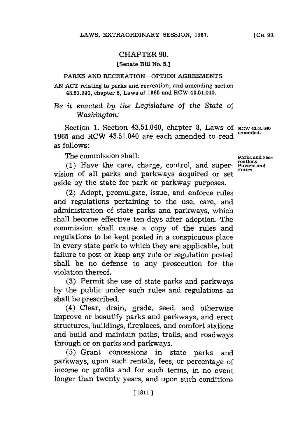## CHAPTER **90.**

## **(Senate Bill No. 5.]**

### **PARKS AND RECREATION--OPTION AGREEMENTS.**

**AN ACT relating to parks and recreation; and amending section 43.51.040, chapter 8, Laws of 1965 and RCW 43.51.040.**

# *Be it enacted by the Legislature of the State of Washington:*

Section 1. Section 43.51.040, chapter 8, Laws of RCW 43.51.040 **1965** and RCW 43.51.040 are each amended to read **amended.** as follows:

The commission shall: **Parks** and rec-

**reations- (1)** Have the care, charge, control, and super- Powers **and** vision of all parks and parkways acquired or set aside **by** the state for park or parkway purposes.

(2) Adopt, promulgate, issue, and enforce rules and regulations pertaining to the use, care, and administration of state parks and parkways, which shall become effective ten days after adoption. The commission shall cause a copy of the rules and regulations to be kept posted in a conspicuous place in every state park to which they are applicable, but failure to post or keep any rule or regulation posted shall be no defense to any prosecution for the violation thereof.

**(3)** Permit the use of state parks and parkways **by** the public under such rules and regulations as shall be prescribed.

(4) Clear, drain, grade, seed, and otherwise improve or beautify parks and parkways, and erect structures, buildings, fireplaces, and comfort stations and build and maintain paths, trails, and roadways through or on parks and parkways.

**(5)** Grant concessions in state parks and parkways, upon such rentals, fees, or percentage of income or profits and for such terms, in no event longer than twenty years, and upon such conditions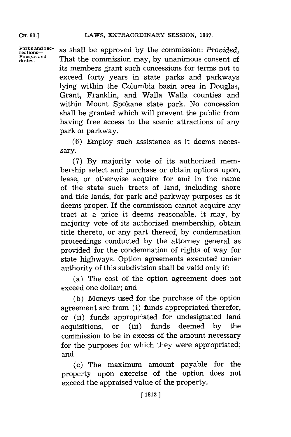**CH. 90.]**

**Parks and rec- reations-Powers and duties.**

as shall be approved **by** the commission: *Provided,* That the commission may, **by** unanimous consent of its members grant such concessions for terms not to exceed forty years in state parks and parkways lying within the Columbia basin area in Douglas, Grant, Franklin, and Walla Walla counties and within Mount Spokane state park. No concession shall be granted which will prevent the public from having free access to the scenic attractions of any park or parkway.

**(6)** Employ such assistance as it deems necessary.

**(7) By** majority vote of its authorized membership select and purchase or obtain options upon, lease, or otherwise acquire for and in the name of the state such tracts of land, including shore and tide lands, for park and parkway purposes as it deems proper. If the commission cannot acquire any tract at a price it deems reasonable, it may, **by** majority vote of its authorized membership, obtain title thereto, or any part thereof, **by** condemnation proceedings conducted **by** the attorney general as provided for the condemnation of rights of way for state highways. Option agreements executed under authority of this subdivision shall be valid only if:

(a) The cost of the option agreement does not exceed one dollar; and

**(b)** Moneys used for the purchase of the option agreement are from (i) funds appropriated therefor, or (ii) funds appropriated for undesignated land acquisitions, or (iii) funds deemed **by** the commission to be in excess of the amount necessary for the purposes for which they were appropriated; and

(c) The maximum amount payable for the property upon exercise of the option does not exceed the appraised value of the property.